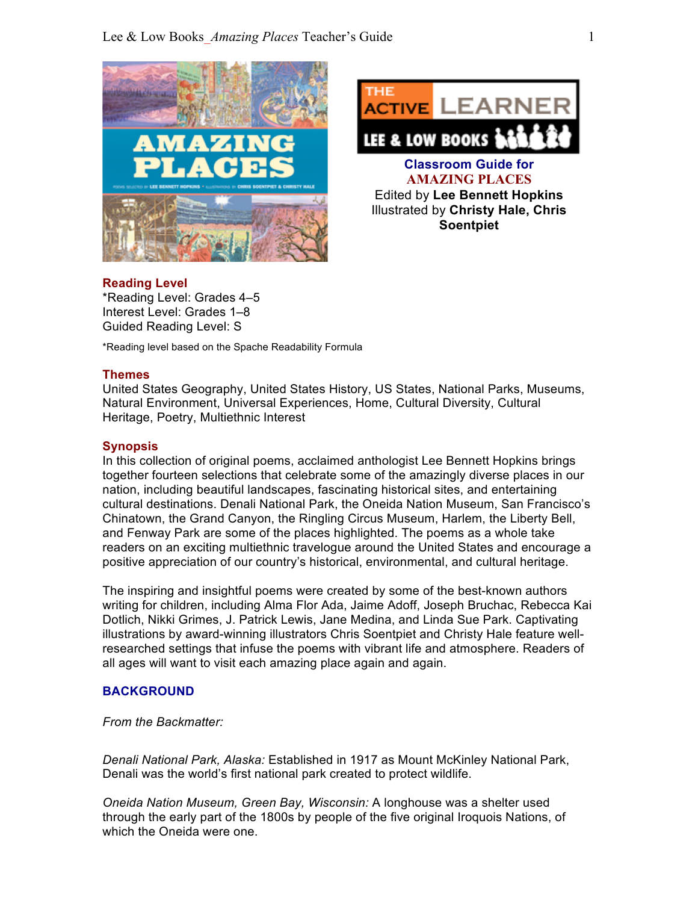



#### **Reading Level**

\*Reading Level: Grades 4–5 Interest Level: Grades 1–8 Guided Reading Level: S

\*Reading level based on the Spache Readability Formula

#### **Themes**

United States Geography, United States History, US States, National Parks, Museums, Natural Environment, Universal Experiences, Home, Cultural Diversity, Cultural Heritage, Poetry, Multiethnic Interest

#### **Synopsis**

In this collection of original poems, acclaimed anthologist Lee Bennett Hopkins brings together fourteen selections that celebrate some of the amazingly diverse places in our nation, including beautiful landscapes, fascinating historical sites, and entertaining cultural destinations. Denali National Park, the Oneida Nation Museum, San Francisco's Chinatown, the Grand Canyon, the Ringling Circus Museum, Harlem, the Liberty Bell, and Fenway Park are some of the places highlighted. The poems as a whole take readers on an exciting multiethnic travelogue around the United States and encourage a positive appreciation of our country's historical, environmental, and cultural heritage.

The inspiring and insightful poems were created by some of the best-known authors writing for children, including Alma Flor Ada, Jaime Adoff, Joseph Bruchac, Rebecca Kai Dotlich, Nikki Grimes, J. Patrick Lewis, Jane Medina, and Linda Sue Park. Captivating illustrations by award-winning illustrators Chris Soentpiet and Christy Hale feature wellresearched settings that infuse the poems with vibrant life and atmosphere. Readers of all ages will want to visit each amazing place again and again.

### **BACKGROUND**

*From the Backmatter:*

*Denali National Park, Alaska:* Established in 1917 as Mount McKinley National Park, Denali was the world's first national park created to protect wildlife.

*Oneida Nation Museum, Green Bay, Wisconsin:* A longhouse was a shelter used through the early part of the 1800s by people of the five original Iroquois Nations, of which the Oneida were one.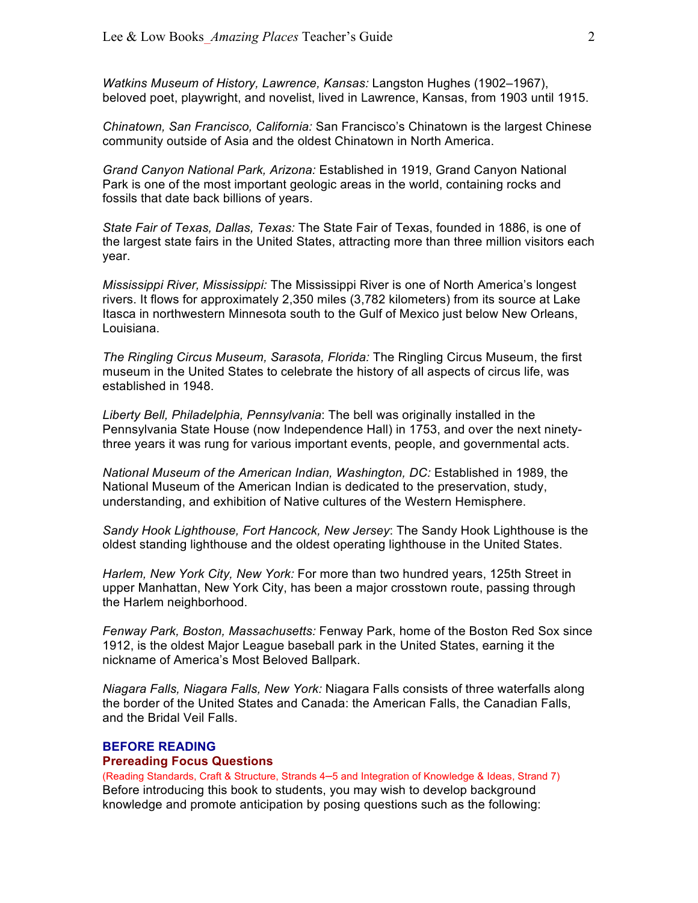*Watkins Museum of History, Lawrence, Kansas:* Langston Hughes (1902–1967), beloved poet, playwright, and novelist, lived in Lawrence, Kansas, from 1903 until 1915.

*Chinatown, San Francisco, California:* San Francisco's Chinatown is the largest Chinese community outside of Asia and the oldest Chinatown in North America.

*Grand Canyon National Park, Arizona:* Established in 1919, Grand Canyon National Park is one of the most important geologic areas in the world, containing rocks and fossils that date back billions of years.

*State Fair of Texas, Dallas, Texas:* The State Fair of Texas, founded in 1886, is one of the largest state fairs in the United States, attracting more than three million visitors each year.

*Mississippi River, Mississippi:* The Mississippi River is one of North America's longest rivers. It flows for approximately 2,350 miles (3,782 kilometers) from its source at Lake Itasca in northwestern Minnesota south to the Gulf of Mexico just below New Orleans, Louisiana.

*The Ringling Circus Museum, Sarasota, Florida:* The Ringling Circus Museum, the first museum in the United States to celebrate the history of all aspects of circus life, was established in 1948.

*Liberty Bell, Philadelphia, Pennsylvania*: The bell was originally installed in the Pennsylvania State House (now Independence Hall) in 1753, and over the next ninetythree years it was rung for various important events, people, and governmental acts.

*National Museum of the American Indian, Washington, DC:* Established in 1989, the National Museum of the American Indian is dedicated to the preservation, study, understanding, and exhibition of Native cultures of the Western Hemisphere.

*Sandy Hook Lighthouse, Fort Hancock, New Jersey*: The Sandy Hook Lighthouse is the oldest standing lighthouse and the oldest operating lighthouse in the United States.

*Harlem, New York City, New York:* For more than two hundred years, 125th Street in upper Manhattan, New York City, has been a major crosstown route, passing through the Harlem neighborhood.

*Fenway Park, Boston, Massachusetts:* Fenway Park, home of the Boston Red Sox since 1912, is the oldest Major League baseball park in the United States, earning it the nickname of America's Most Beloved Ballpark.

*Niagara Falls, Niagara Falls, New York:* Niagara Falls consists of three waterfalls along the border of the United States and Canada: the American Falls, the Canadian Falls, and the Bridal Veil Falls.

#### **BEFORE READING**

#### **Prereading Focus Questions**

(Reading Standards, Craft & Structure, Strands 4–5 and Integration of Knowledge & Ideas, Strand 7) Before introducing this book to students, you may wish to develop background knowledge and promote anticipation by posing questions such as the following: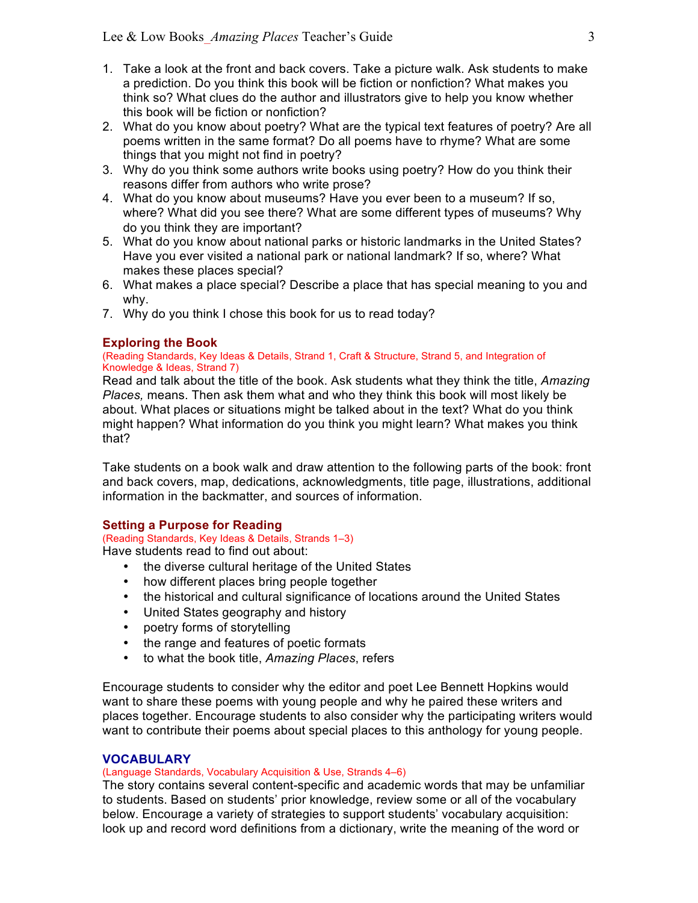- 1. Take a look at the front and back covers. Take a picture walk. Ask students to make a prediction. Do you think this book will be fiction or nonfiction? What makes you think so? What clues do the author and illustrators give to help you know whether this book will be fiction or nonfiction?
- 2. What do you know about poetry? What are the typical text features of poetry? Are all poems written in the same format? Do all poems have to rhyme? What are some things that you might not find in poetry?
- 3. Why do you think some authors write books using poetry? How do you think their reasons differ from authors who write prose?
- 4. What do you know about museums? Have you ever been to a museum? If so, where? What did you see there? What are some different types of museums? Why do you think they are important?
- 5. What do you know about national parks or historic landmarks in the United States? Have you ever visited a national park or national landmark? If so, where? What makes these places special?
- 6. What makes a place special? Describe a place that has special meaning to you and why.
- 7. Why do you think I chose this book for us to read today?

## **Exploring the Book**

#### (Reading Standards, Key Ideas & Details, Strand 1, Craft & Structure, Strand 5, and Integration of Knowledge & Ideas, Strand 7)

Read and talk about the title of the book. Ask students what they think the title, *Amazing Places,* means. Then ask them what and who they think this book will most likely be about. What places or situations might be talked about in the text? What do you think might happen? What information do you think you might learn? What makes you think that?

Take students on a book walk and draw attention to the following parts of the book: front and back covers, map, dedications, acknowledgments, title page, illustrations, additional information in the backmatter, and sources of information.

## **Setting a Purpose for Reading**

# (Reading Standards, Key Ideas & Details, Strands 1–3)

Have students read to find out about:

- the diverse cultural heritage of the United States
- how different places bring people together
- the historical and cultural significance of locations around the United States
- United States geography and history
- poetry forms of storytelling
- the range and features of poetic formats
- to what the book title, *Amazing Places*, refers

Encourage students to consider why the editor and poet Lee Bennett Hopkins would want to share these poems with young people and why he paired these writers and places together. Encourage students to also consider why the participating writers would want to contribute their poems about special places to this anthology for young people.

## **VOCABULARY**

## (Language Standards, Vocabulary Acquisition & Use, Strands 4–6)

The story contains several content-specific and academic words that may be unfamiliar to students. Based on students' prior knowledge, review some or all of the vocabulary below. Encourage a variety of strategies to support students' vocabulary acquisition: look up and record word definitions from a dictionary, write the meaning of the word or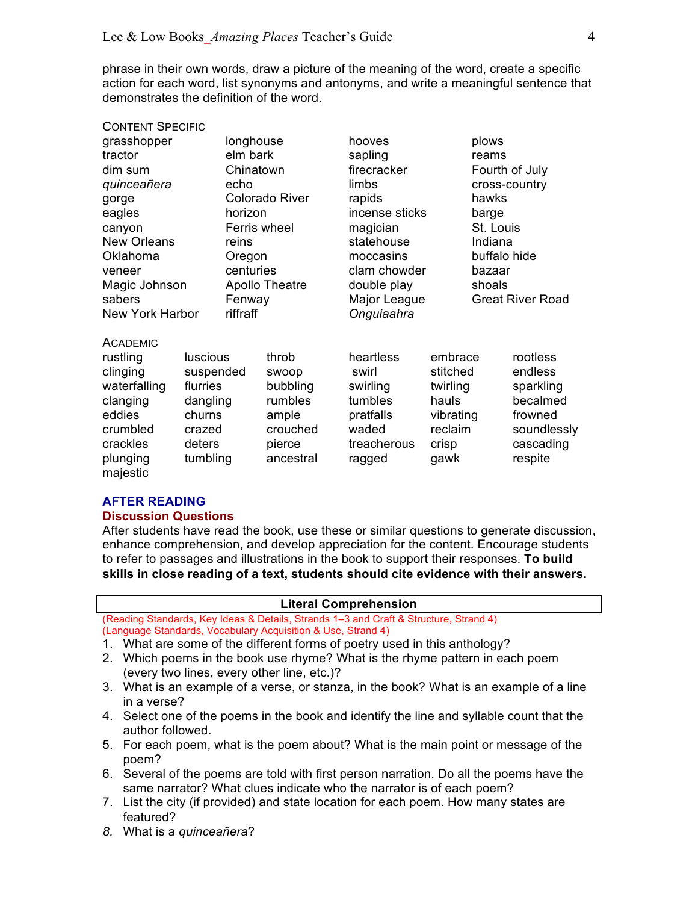phrase in their own words, draw a picture of the meaning of the word, create a specific action for each word, list synonyms and antonyms, and write a meaningful sentence that demonstrates the definition of the word.

### CONTENT SPECIFIC

| grasshopper<br>tractor<br>dim sum<br>quinceañera<br>gorge                                             |                                                                                    | longhouse<br>elm bark<br>Chinatown<br>echo<br><b>Colorado River</b> |                                                                      | hooves<br>sapling<br>firecracker<br>limbs<br>rapids                            |                                                                           | plows<br>reams<br>Fourth of July<br>cross-country<br>hawks |                                                                                     |
|-------------------------------------------------------------------------------------------------------|------------------------------------------------------------------------------------|---------------------------------------------------------------------|----------------------------------------------------------------------|--------------------------------------------------------------------------------|---------------------------------------------------------------------------|------------------------------------------------------------|-------------------------------------------------------------------------------------|
| eagles                                                                                                |                                                                                    | horizon<br>Ferris wheel                                             |                                                                      | incense sticks<br>magician                                                     |                                                                           | barge<br>St. Louis                                         |                                                                                     |
| canyon<br><b>New Orleans</b><br>Oklahoma<br>veneer                                                    |                                                                                    | reins<br>Oregon<br>centuries                                        |                                                                      | statehouse<br>moccasins<br>clam chowder                                        |                                                                           | Indiana<br>buffalo hide<br>bazaar                          |                                                                                     |
| Magic Johnson<br>sabers                                                                               |                                                                                    | <b>Apollo Theatre</b><br>Fenway                                     |                                                                      | double play<br>Major League                                                    |                                                                           | shoals<br><b>Great River Road</b>                          |                                                                                     |
| <b>New York Harbor</b>                                                                                |                                                                                    | riffraff                                                            |                                                                      | Onguiaahra                                                                     |                                                                           |                                                            |                                                                                     |
| <b>ACADEMIC</b><br>rustling<br>clinging<br>waterfalling<br>clanging<br>eddies<br>crumbled<br>crackles | <b>luscious</b><br>suspended<br>flurries<br>dangling<br>churns<br>crazed<br>deters |                                                                     | throb<br>swoop<br>bubbling<br>rumbles<br>ample<br>crouched<br>pierce | heartless<br>swirl<br>swirling<br>tumbles<br>pratfalls<br>waded<br>treacherous | embrace<br>stitched<br>twirling<br>hauls<br>vibrating<br>reclaim<br>crisp |                                                            | rootless<br>endless<br>sparkling<br>becalmed<br>frowned<br>soundlessly<br>cascading |
| plunging<br>majestic                                                                                  | tumbling                                                                           |                                                                     | ancestral                                                            | ragged                                                                         | gawk                                                                      |                                                            | respite                                                                             |

#### **AFTER READING**

#### **Discussion Questions**

After students have read the book, use these or similar questions to generate discussion, enhance comprehension, and develop appreciation for the content. Encourage students to refer to passages and illustrations in the book to support their responses. **To build skills in close reading of a text, students should cite evidence with their answers.**

#### **Literal Comprehension**

(Reading Standards, Key Ideas & Details, Strands 1–3 and Craft & Structure, Strand 4) (Language Standards, Vocabulary Acquisition & Use, Strand 4)

- 1. What are some of the different forms of poetry used in this anthology?
- 2. Which poems in the book use rhyme? What is the rhyme pattern in each poem (every two lines, every other line, etc.)?
- 3. What is an example of a verse, or stanza, in the book? What is an example of a line in a verse?
- 4. Select one of the poems in the book and identify the line and syllable count that the author followed.
- 5. For each poem, what is the poem about? What is the main point or message of the poem?
- 6. Several of the poems are told with first person narration. Do all the poems have the same narrator? What clues indicate who the narrator is of each poem?
- 7. List the city (if provided) and state location for each poem. How many states are featured?
- *8.* What is a *quinceañera*?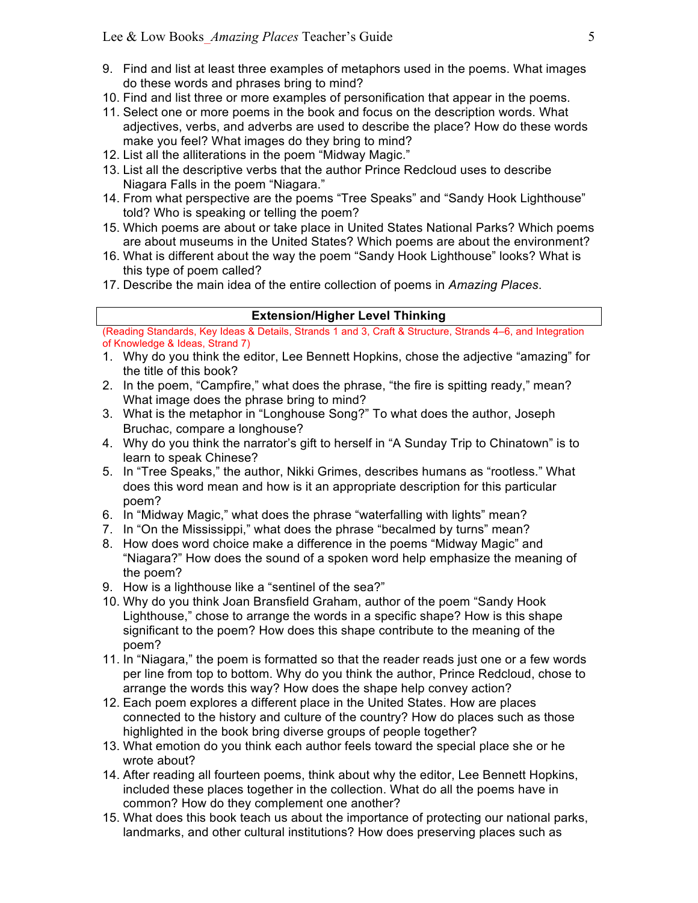- 9. Find and list at least three examples of metaphors used in the poems. What images do these words and phrases bring to mind?
- 10. Find and list three or more examples of personification that appear in the poems.
- 11. Select one or more poems in the book and focus on the description words. What adjectives, verbs, and adverbs are used to describe the place? How do these words make you feel? What images do they bring to mind?
- 12. List all the alliterations in the poem "Midway Magic."
- 13. List all the descriptive verbs that the author Prince Redcloud uses to describe Niagara Falls in the poem "Niagara."
- 14. From what perspective are the poems "Tree Speaks" and "Sandy Hook Lighthouse" told? Who is speaking or telling the poem?
- 15. Which poems are about or take place in United States National Parks? Which poems are about museums in the United States? Which poems are about the environment?
- 16. What is different about the way the poem "Sandy Hook Lighthouse" looks? What is this type of poem called?
- 17. Describe the main idea of the entire collection of poems in *Amazing Places*.

## **Extension/Higher Level Thinking**

(Reading Standards, Key Ideas & Details, Strands 1 and 3, Craft & Structure, Strands 4–6, and Integration of Knowledge & Ideas, Strand 7)

- 1. Why do you think the editor, Lee Bennett Hopkins, chose the adjective "amazing" for the title of this book?
- 2. In the poem, "Campfire," what does the phrase, "the fire is spitting ready," mean? What image does the phrase bring to mind?
- 3. What is the metaphor in "Longhouse Song?" To what does the author, Joseph Bruchac, compare a longhouse?
- 4. Why do you think the narrator's gift to herself in "A Sunday Trip to Chinatown" is to learn to speak Chinese?
- 5. In "Tree Speaks," the author, Nikki Grimes, describes humans as "rootless." What does this word mean and how is it an appropriate description for this particular poem?
- 6. In "Midway Magic," what does the phrase "waterfalling with lights" mean?
- 7. In "On the Mississippi," what does the phrase "becalmed by turns" mean?
- 8. How does word choice make a difference in the poems "Midway Magic" and "Niagara?" How does the sound of a spoken word help emphasize the meaning of the poem?
- 9. How is a lighthouse like a "sentinel of the sea?"
- 10. Why do you think Joan Bransfield Graham, author of the poem "Sandy Hook Lighthouse," chose to arrange the words in a specific shape? How is this shape significant to the poem? How does this shape contribute to the meaning of the poem?
- 11. In "Niagara," the poem is formatted so that the reader reads just one or a few words per line from top to bottom. Why do you think the author, Prince Redcloud, chose to arrange the words this way? How does the shape help convey action?
- 12. Each poem explores a different place in the United States. How are places connected to the history and culture of the country? How do places such as those highlighted in the book bring diverse groups of people together?
- 13. What emotion do you think each author feels toward the special place she or he wrote about?
- 14. After reading all fourteen poems, think about why the editor, Lee Bennett Hopkins, included these places together in the collection. What do all the poems have in common? How do they complement one another?
- 15. What does this book teach us about the importance of protecting our national parks, landmarks, and other cultural institutions? How does preserving places such as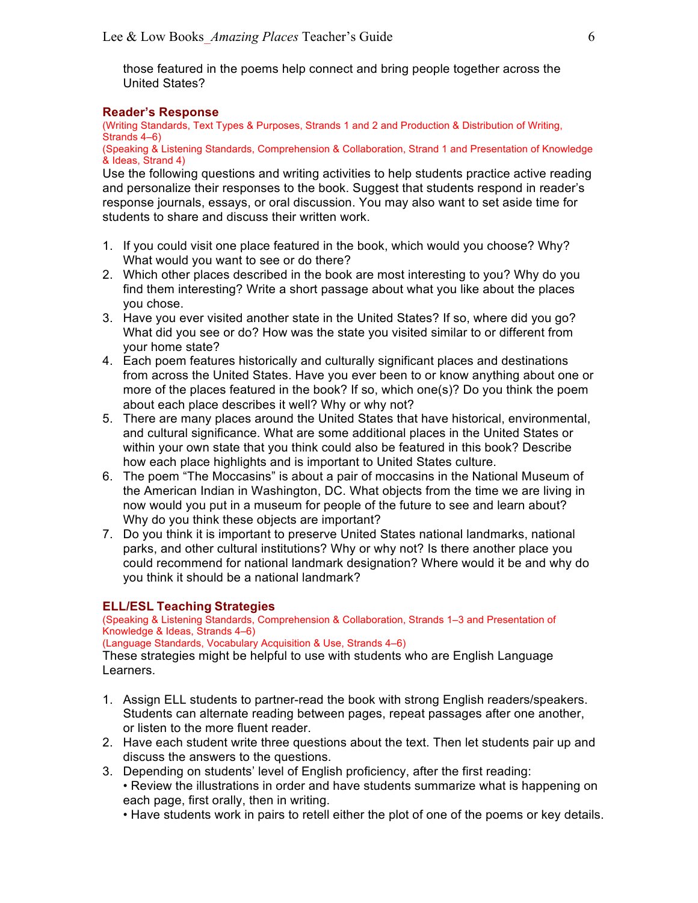those featured in the poems help connect and bring people together across the United States?

## **Reader's Response**

(Writing Standards, Text Types & Purposes, Strands 1 and 2 and Production & Distribution of Writing, Strands 4–6)

(Speaking & Listening Standards, Comprehension & Collaboration, Strand 1 and Presentation of Knowledge & Ideas, Strand 4)

Use the following questions and writing activities to help students practice active reading and personalize their responses to the book. Suggest that students respond in reader's response journals, essays, or oral discussion. You may also want to set aside time for students to share and discuss their written work.

- 1. If you could visit one place featured in the book, which would you choose? Why? What would you want to see or do there?
- 2. Which other places described in the book are most interesting to you? Why do you find them interesting? Write a short passage about what you like about the places you chose.
- 3. Have you ever visited another state in the United States? If so, where did you go? What did you see or do? How was the state you visited similar to or different from your home state?
- 4. Each poem features historically and culturally significant places and destinations from across the United States. Have you ever been to or know anything about one or more of the places featured in the book? If so, which one(s)? Do you think the poem about each place describes it well? Why or why not?
- 5. There are many places around the United States that have historical, environmental, and cultural significance. What are some additional places in the United States or within your own state that you think could also be featured in this book? Describe how each place highlights and is important to United States culture.
- 6. The poem "The Moccasins" is about a pair of moccasins in the National Museum of the American Indian in Washington, DC. What objects from the time we are living in now would you put in a museum for people of the future to see and learn about? Why do you think these objects are important?
- 7. Do you think it is important to preserve United States national landmarks, national parks, and other cultural institutions? Why or why not? Is there another place you could recommend for national landmark designation? Where would it be and why do you think it should be a national landmark?

#### **ELL/ESL Teaching Strategies**

(Speaking & Listening Standards, Comprehension & Collaboration, Strands 1–3 and Presentation of Knowledge & Ideas, Strands 4–6)

(Language Standards, Vocabulary Acquisition & Use, Strands 4–6)

These strategies might be helpful to use with students who are English Language Learners.

- 1. Assign ELL students to partner-read the book with strong English readers/speakers. Students can alternate reading between pages, repeat passages after one another, or listen to the more fluent reader.
- 2. Have each student write three questions about the text. Then let students pair up and discuss the answers to the questions.
- 3. Depending on students' level of English proficiency, after the first reading: • Review the illustrations in order and have students summarize what is happening on each page, first orally, then in writing.
	- Have students work in pairs to retell either the plot of one of the poems or key details.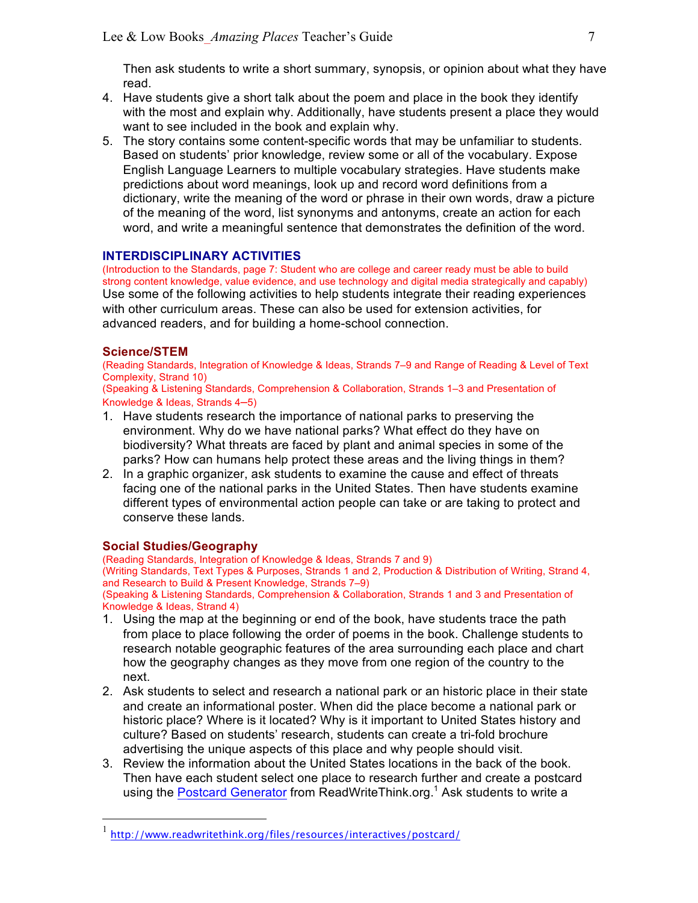Then ask students to write a short summary, synopsis, or opinion about what they have read.

- 4. Have students give a short talk about the poem and place in the book they identify with the most and explain why. Additionally, have students present a place they would want to see included in the book and explain why.
- 5. The story contains some content-specific words that may be unfamiliar to students. Based on students' prior knowledge, review some or all of the vocabulary. Expose English Language Learners to multiple vocabulary strategies. Have students make predictions about word meanings, look up and record word definitions from a dictionary, write the meaning of the word or phrase in their own words, draw a picture of the meaning of the word, list synonyms and antonyms, create an action for each word, and write a meaningful sentence that demonstrates the definition of the word.

## **INTERDISCIPLINARY ACTIVITIES**

(Introduction to the Standards, page 7: Student who are college and career ready must be able to build strong content knowledge, value evidence, and use technology and digital media strategically and capably) Use some of the following activities to help students integrate their reading experiences with other curriculum areas. These can also be used for extension activities, for advanced readers, and for building a home-school connection.

## **Science/STEM**

(Reading Standards, Integration of Knowledge & Ideas, Strands 7–9 and Range of Reading & Level of Text Complexity, Strand 10)

(Speaking & Listening Standards, Comprehension & Collaboration, Strands 1–3 and Presentation of Knowledge & Ideas, Strands 4–5)

- 1. Have students research the importance of national parks to preserving the environment. Why do we have national parks? What effect do they have on biodiversity? What threats are faced by plant and animal species in some of the parks? How can humans help protect these areas and the living things in them?
- 2. In a graphic organizer, ask students to examine the cause and effect of threats facing one of the national parks in the United States. Then have students examine different types of environmental action people can take or are taking to protect and conserve these lands.

## **Social Studies/Geography**

(Reading Standards, Integration of Knowledge & Ideas, Strands 7 and 9)

(Writing Standards, Text Types & Purposes, Strands 1 and 2, Production & Distribution of Writing, Strand 4, and Research to Build & Present Knowledge, Strands 7–9)

(Speaking & Listening Standards, Comprehension & Collaboration, Strands 1 and 3 and Presentation of Knowledge & Ideas, Strand 4)

- 1. Using the map at the beginning or end of the book, have students trace the path from place to place following the order of poems in the book. Challenge students to research notable geographic features of the area surrounding each place and chart how the geography changes as they move from one region of the country to the next.
- 2. Ask students to select and research a national park or an historic place in their state and create an informational poster. When did the place become a national park or historic place? Where is it located? Why is it important to United States history and culture? Based on students' research, students can create a tri-fold brochure advertising the unique aspects of this place and why people should visit.
- 3. Review the information about the United States locations in the back of the book. Then have each student select one place to research further and create a postcard using the Postcard Generator from ReadWriteThink.org.<sup>1</sup> Ask students to write a

 <sup>1</sup> http://www.readwritethink.org/files/resources/interactives/postcard/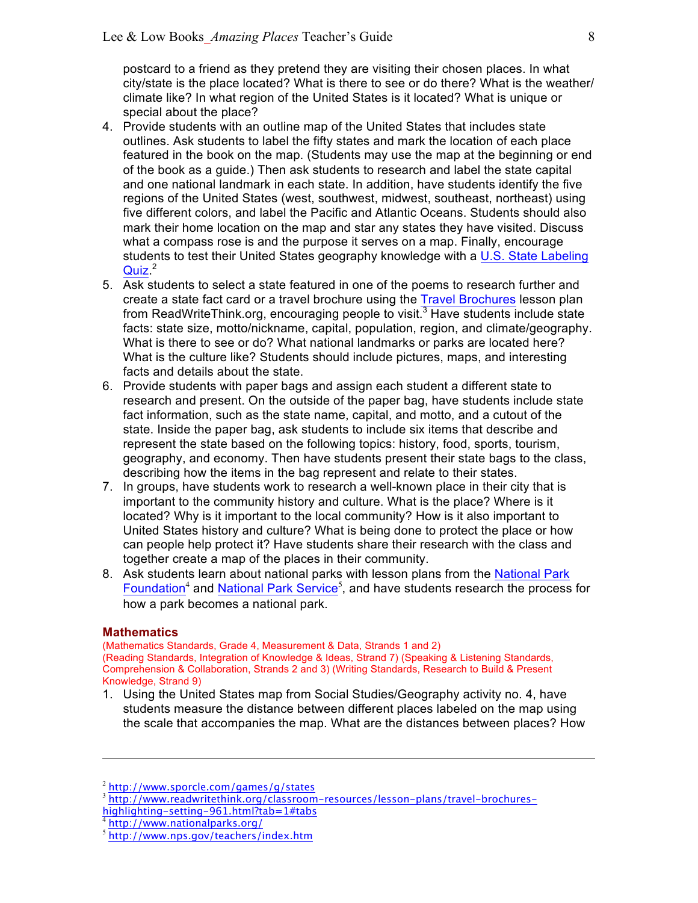postcard to a friend as they pretend they are visiting their chosen places. In what city/state is the place located? What is there to see or do there? What is the weather/ climate like? In what region of the United States is it located? What is unique or special about the place?

- 4. Provide students with an outline map of the United States that includes state outlines. Ask students to label the fifty states and mark the location of each place featured in the book on the map. (Students may use the map at the beginning or end of the book as a guide.) Then ask students to research and label the state capital and one national landmark in each state. In addition, have students identify the five regions of the United States (west, southwest, midwest, southeast, northeast) using five different colors, and label the Pacific and Atlantic Oceans. Students should also mark their home location on the map and star any states they have visited. Discuss what a compass rose is and the purpose it serves on a map. Finally, encourage students to test their United States geography knowledge with a U.S. State Labeling Quiz.<sup>2</sup>
- 5. Ask students to select a state featured in one of the poems to research further and create a state fact card or a travel brochure using the Travel Brochures lesson plan from ReadWriteThink.org, encouraging people to visit. $3$  Have students include state facts: state size, motto/nickname, capital, population, region, and climate/geography. What is there to see or do? What national landmarks or parks are located here? What is the culture like? Students should include pictures, maps, and interesting facts and details about the state.
- 6. Provide students with paper bags and assign each student a different state to research and present. On the outside of the paper bag, have students include state fact information, such as the state name, capital, and motto, and a cutout of the state. Inside the paper bag, ask students to include six items that describe and represent the state based on the following topics: history, food, sports, tourism, geography, and economy. Then have students present their state bags to the class, describing how the items in the bag represent and relate to their states.
- 7. In groups, have students work to research a well-known place in their city that is important to the community history and culture. What is the place? Where is it located? Why is it important to the local community? How is it also important to United States history and culture? What is being done to protect the place or how can people help protect it? Have students share their research with the class and together create a map of the places in their community.
- 8. Ask students learn about national parks with lesson plans from the National Park Foundation<sup>4</sup> and National Park Service<sup>5</sup>, and have students research the process for how a park becomes a national park.

## **Mathematics**

 $\overline{a}$ 

(Mathematics Standards, Grade 4, Measurement & Data, Strands 1 and 2) (Reading Standards, Integration of Knowledge & Ideas, Strand 7) (Speaking & Listening Standards, Comprehension & Collaboration, Strands 2 and 3) (Writing Standards, Research to Build & Present Knowledge, Strand 9)

1. Using the United States map from Social Studies/Geography activity no. 4, have students measure the distance between different places labeled on the map using the scale that accompanies the map. What are the distances between places? How

<sup>2</sup> http://www.sporcle.com/games/g/states

<sup>3</sup> http://www.readwritethink.org/classroom-resources/lesson-plans/travel-brochures-

highlighting-setting-961.html?tab=1#tabs

<sup>4</sup> http://www.nationalparks.org/

<sup>5</sup> http://www.nps.gov/teachers/index.htm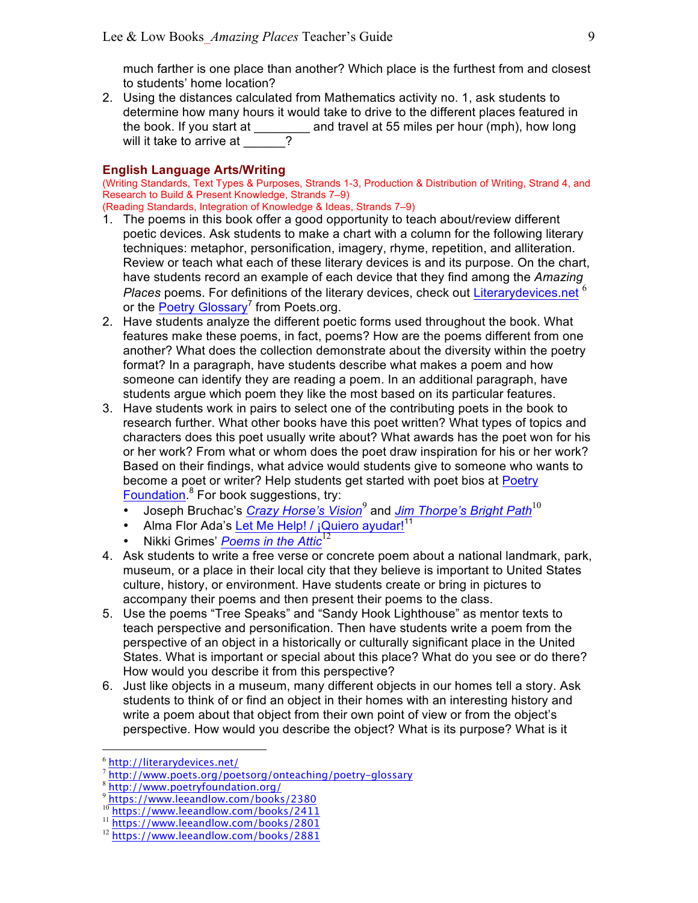much farther is one place than another? Which place is the furthest from and closest to students' home location?

2. Using the distances calculated from Mathematics activity no. 1, ask students to determine how many hours it would take to drive to the different places featured in the book. If you start at \_\_\_\_\_\_\_\_ and travel at 55 miles per hour (mph), how long will it take to arrive at  $\frac{1}{2}$ 

## **English Language Arts/Writing**

(Writing Standards, Text Types & Purposes, Strands 1-3, Production & Distribution of Writing, Strand 4, and Research to Build & Present Knowledge, Strands 7–9)

- (Reading Standards, Integration of Knowledge & Ideas, Strands 7–9)
- 1. The poems in this book offer a good opportunity to teach about/review different poetic devices. Ask students to make a chart with a column for the following literary techniques: metaphor, personification, imagery, rhyme, repetition, and alliteration. Review or teach what each of these literary devices is and its purpose. On the chart, have students record an example of each device that they find among the *Amazing Places* poems. For definitions of the literary devices, check out Literarydevices.net <sup>6</sup> or the Poetry Glossary<sup>7</sup> from Poets.org.
- 2. Have students analyze the different poetic forms used throughout the book. What features make these poems, in fact, poems? How are the poems different from one another? What does the collection demonstrate about the diversity within the poetry format? In a paragraph, have students describe what makes a poem and how someone can identify they are reading a poem. In an additional paragraph, have students argue which poem they like the most based on its particular features.
- 3. Have students work in pairs to select one of the contributing poets in the book to research further. What other books have this poet written? What types of topics and characters does this poet usually write about? What awards has the poet won for his or her work? From what or whom does the poet draw inspiration for his or her work? Based on their findings, what advice would students give to someone who wants to become a poet or writer? Help students get started with poet bios at Poetry Foundation.<sup>8</sup> For book suggestions, try:
	- Joseph Bruchac's *Crazy Horse's Vision*<sup>9</sup> and *Jim Thorpe's Bright Path*<sup>10</sup>
	- Alma Flor Ada's Let Me Help! /  $i$ Quiero ayudar!<sup>11</sup>
	- Nikki Grimes' *Poems in the Attic*<sup>12</sup>
- 4. Ask students to write a free verse or concrete poem about a national landmark, park, museum, or a place in their local city that they believe is important to United States culture, history, or environment. Have students create or bring in pictures to accompany their poems and then present their poems to the class.
- 5. Use the poems "Tree Speaks" and "Sandy Hook Lighthouse" as mentor texts to teach perspective and personification. Then have students write a poem from the perspective of an object in a historically or culturally significant place in the United States. What is important or special about this place? What do you see or do there? How would you describe it from this perspective?
- 6. Just like objects in a museum, many different objects in our homes tell a story. Ask students to think of or find an object in their homes with an interesting history and write a poem about that object from their own point of view or from the object's perspective. How would you describe the object? What is its purpose? What is it

 <sup>6</sup> http://literarydevices.net/

<sup>7</sup> http://www.poets.org/poetsorg/onteaching/poetry-glossary

<sup>8</sup> http://www.poetryfoundation.org/

<sup>9</sup> https://www.leeandlow.com/books/2380

<sup>10</sup> https://www.leeandlow.com/books/2411

<sup>11</sup> https://www.leeandlow.com/books/2801

<sup>&</sup>lt;sup>12</sup> https://www.leeandlow.com/books/2881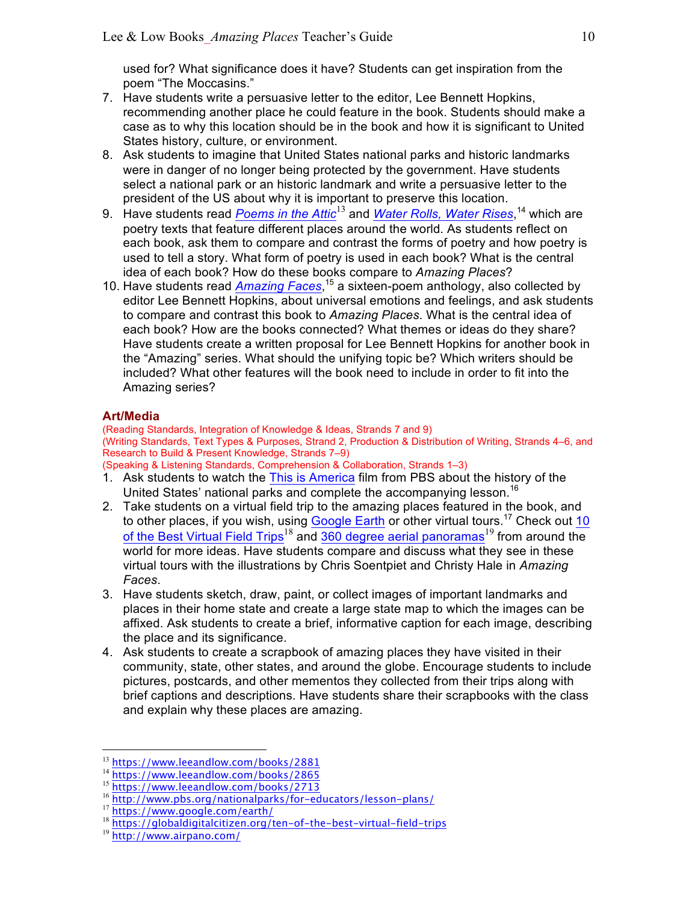used for? What significance does it have? Students can get inspiration from the poem "The Moccasins."

- 7. Have students write a persuasive letter to the editor, Lee Bennett Hopkins, recommending another place he could feature in the book. Students should make a case as to why this location should be in the book and how it is significant to United States history, culture, or environment.
- 8. Ask students to imagine that United States national parks and historic landmarks were in danger of no longer being protected by the government. Have students select a national park or an historic landmark and write a persuasive letter to the president of the US about why it is important to preserve this location.
- 9. Have students read *Poems in the Attic*<sup>13</sup> and *Water Rolls, Water Rises*, <sup>14</sup> which are poetry texts that feature different places around the world. As students reflect on each book, ask them to compare and contrast the forms of poetry and how poetry is used to tell a story. What form of poetry is used in each book? What is the central idea of each book? How do these books compare to *Amazing Places*?
- 10. Have students read *Amazing Faces*, <sup>15</sup> a sixteen-poem anthology, also collected by editor Lee Bennett Hopkins, about universal emotions and feelings, and ask students to compare and contrast this book to *Amazing Places*. What is the central idea of each book? How are the books connected? What themes or ideas do they share? Have students create a written proposal for Lee Bennett Hopkins for another book in the "Amazing" series. What should the unifying topic be? Which writers should be included? What other features will the book need to include in order to fit into the Amazing series?

## **Art/Media**

(Reading Standards, Integration of Knowledge & Ideas, Strands 7 and 9) (Writing Standards, Text Types & Purposes, Strand 2, Production & Distribution of Writing, Strands 4–6, and Research to Build & Present Knowledge, Strands 7–9) (Speaking & Listening Standards, Comprehension & Collaboration, Strands 1–3)

- 1. Ask students to watch the This is America film from PBS about the history of the United States' national parks and complete the accompanying lesson.<sup>16</sup>
- 2. Take students on a virtual field trip to the amazing places featured in the book, and to other places, if you wish, using Google Earth or other virtual tours.<sup>17</sup> Check out 10 of the Best Virtual Field Trips<sup>18</sup> and 360 degree aerial panoramas<sup>19</sup> from around the world for more ideas. Have students compare and discuss what they see in these virtual tours with the illustrations by Chris Soentpiet and Christy Hale in *Amazing Faces*.
- 3. Have students sketch, draw, paint, or collect images of important landmarks and places in their home state and create a large state map to which the images can be affixed. Ask students to create a brief, informative caption for each image, describing the place and its significance.
- 4. Ask students to create a scrapbook of amazing places they have visited in their community, state, other states, and around the globe. Encourage students to include pictures, postcards, and other mementos they collected from their trips along with brief captions and descriptions. Have students share their scrapbooks with the class and explain why these places are amazing.

<sup>13</sup> https://www.leeandlow.com/books/2881

<sup>14</sup> https://www.leeandlow.com/books/2865

<sup>15</sup> https://www.leeandlow.com/books/2713

<sup>16</sup> http://www.pbs.org/nationalparks/for-educators/lesson-plans/

<sup>17</sup> https://www.google.com/earth/

<sup>18</sup> https://globaldigitalcitizen.org/ten-of-the-best-virtual-field-trips

<sup>19</sup> http://www.airpano.com/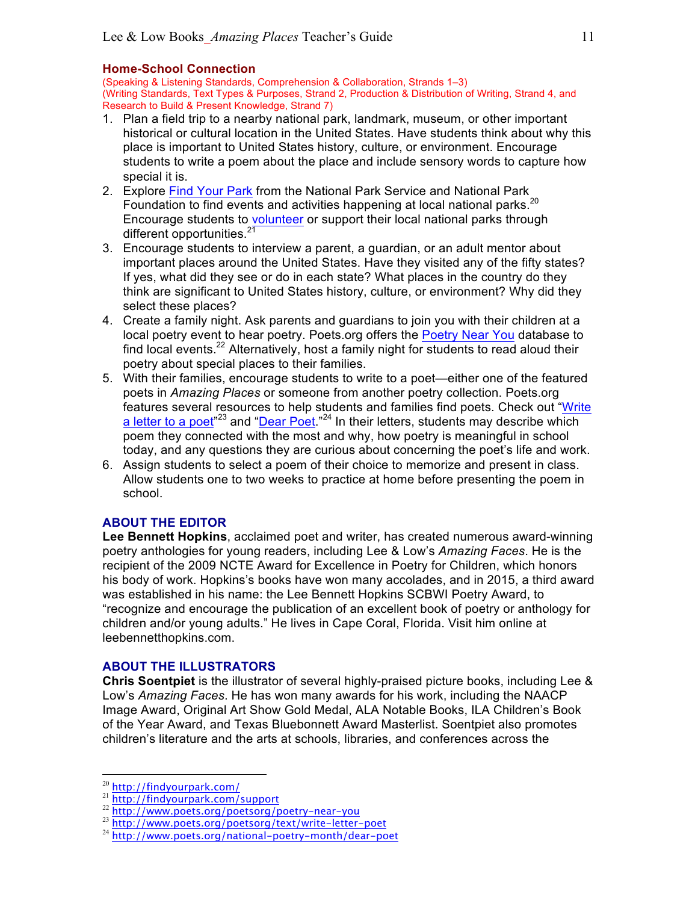## **Home-School Connection**

(Speaking & Listening Standards, Comprehension & Collaboration, Strands 1–3) (Writing Standards, Text Types & Purposes, Strand 2, Production & Distribution of Writing, Strand 4, and Research to Build & Present Knowledge, Strand 7)

- 1. Plan a field trip to a nearby national park, landmark, museum, or other important historical or cultural location in the United States. Have students think about why this place is important to United States history, culture, or environment. Encourage students to write a poem about the place and include sensory words to capture how special it is.
- 2. Explore Find Your Park from the National Park Service and National Park Foundation to find events and activities happening at local national parks.<sup>20</sup> Encourage students to volunteer or support their local national parks through different opportunities. $21$
- 3. Encourage students to interview a parent, a guardian, or an adult mentor about important places around the United States. Have they visited any of the fifty states? If yes, what did they see or do in each state? What places in the country do they think are significant to United States history, culture, or environment? Why did they select these places?
- 4. Create a family night. Ask parents and guardians to join you with their children at a local poetry event to hear poetry. Poets.org offers the Poetry Near You database to find local events.<sup>22</sup> Alternatively, host a family night for students to read aloud their poetry about special places to their families.
- 5. With their families, encourage students to write to a poet—either one of the featured poets in *Amazing Places* or someone from another poetry collection. Poets.org features several resources to help students and families find poets. Check out "Write a letter to a poet<sup>"23</sup> and "Dear Poet."<sup>24</sup> In their letters, students may describe which poem they connected with the most and why, how poetry is meaningful in school today, and any questions they are curious about concerning the poet's life and work.
- 6. Assign students to select a poem of their choice to memorize and present in class. Allow students one to two weeks to practice at home before presenting the poem in school.

# **ABOUT THE EDITOR**

**Lee Bennett Hopkins**, acclaimed poet and writer, has created numerous award-winning poetry anthologies for young readers, including Lee & Low's *Amazing Faces*. He is the recipient of the 2009 NCTE Award for Excellence in Poetry for Children, which honors his body of work. Hopkins's books have won many accolades, and in 2015, a third award was established in his name: the Lee Bennett Hopkins SCBWI Poetry Award, to "recognize and encourage the publication of an excellent book of poetry or anthology for children and/or young adults." He lives in Cape Coral, Florida. Visit him online at leebennetthopkins.com.

## **ABOUT THE ILLUSTRATORS**

**Chris Soentpiet** is the illustrator of several highly-praised picture books, including Lee & Low's *Amazing Faces*. He has won many awards for his work, including the NAACP Image Award, Original Art Show Gold Medal, ALA Notable Books, ILA Children's Book of the Year Award, and Texas Bluebonnett Award Masterlist. Soentpiet also promotes children's literature and the arts at schools, libraries, and conferences across the

 <sup>20</sup> http://findyourpark.com/

<sup>21</sup> http://findyourpark.com/support

<sup>22</sup> http://www.poets.org/poetsorg/poetry-near-you

<sup>23</sup> http://www.poets.org/poetsorg/text/write-letter-poet

<sup>&</sup>lt;sup>24</sup> http://www.poets.org/national-poetry-month/dear-poet